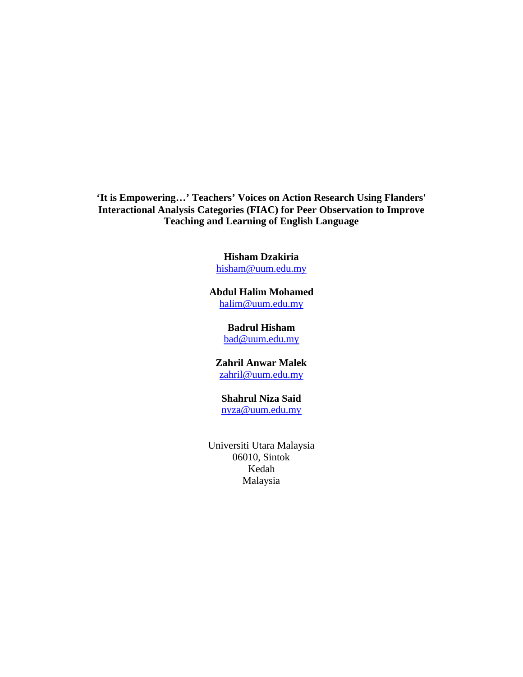**'It is Empowering…' Teachers' Voices on Action Research Using Flanders' Interactional Analysis Categories (FIAC) for Peer Observation to Improve Teaching and Learning of English Language**

## **Hisham Dzakiria**

hisham@uum.edu.my

#### **Abdul Halim Mohamed** halim@uum.edu.my

#### **Badrul Hisham** bad@uum.edu.my

**Zahril Anwar Malek** zahril@uum.edu.my

# **Shahrul Niza Said**

nyza@uum.edu.my

Universiti Utara Malaysia 06010, Sintok Kedah Malaysia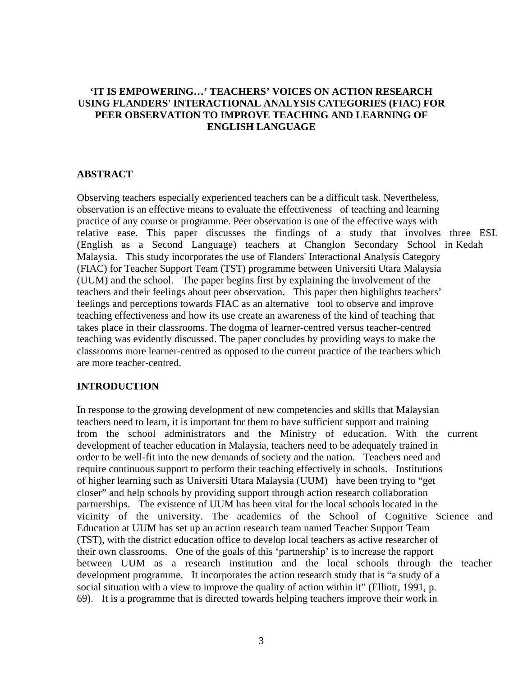## **'IT IS EMPOWERING…' TEACHERS' VOICES ON ACTION RESEARCH USING FLANDERS' INTERACTIONAL ANALYSIS CATEGORIES (FIAC) FOR PEER OBSERVATION TO IMPROVE TEACHING AND LEARNING OF ENGLISH LANGUAGE**

#### **ABSTRACT**

Observing teachers especially experienced teachers can be a difficult task. Nevertheless, observation is an effective means to evaluate the effectiveness of teaching and learning practice of any course or programme. Peer observation is one of the effective ways with relative ease. This paper discusses the findings of a study that involves three ESL (English as a Second Language) teachers at Changlon Secondary School in Kedah Malaysia. This study incorporates the use of Flanders' Interactional Analysis Category (FIAC) for Teacher Support Team (TST) programme between Universiti Utara Malaysia (UUM) and the school. The paper begins first by explaining the involvement of the teachers and their feelings about peer observation. This paper then highlights teachers' feelings and perceptions towards FIAC as an alternative tool to observe and improve teaching effectiveness and how its use create an awareness of the kind of teaching that takes place in their classrooms. The dogma of learner-centred versus teacher-centred teaching was evidently discussed. The paper concludes by providing ways to make the classrooms more learner-centred as opposed to the current practice of the teachers which are more teacher-centred.

#### **INTRODUCTION**

In response to the growing development of new competencies and skills that Malaysian teachers need to learn, it is important for them to have sufficient support and training from the school administrators and the Ministry of education. With the current development of teacher education in Malaysia, teachers need to be adequately trained in order to be well-fit into the new demands of society and the nation. Teachers need and require continuous support to perform their teaching effectively in schools. Institutions of higher learning such as Universiti Utara Malaysia (UUM) have been trying to "get closer" and help schools by providing support through action research collaboration partnerships. The existence of UUM has been vital for the local schools located in the vicinity of the university. The academics of the School of Cognitive Science and Education at UUM has set up an action research team named Teacher Support Team (TST), with the district education office to develop local teachers as active researcher of their own classrooms. One of the goals of this 'partnership' is to increase the rapport between UUM as a research institution and the local schools through the teacher development programme. It incorporates the action research study that is "a study of a social situation with a view to improve the quality of action within it" (Elliott, 1991, p. 69). It is a programme that is directed towards helping teachers improve their work in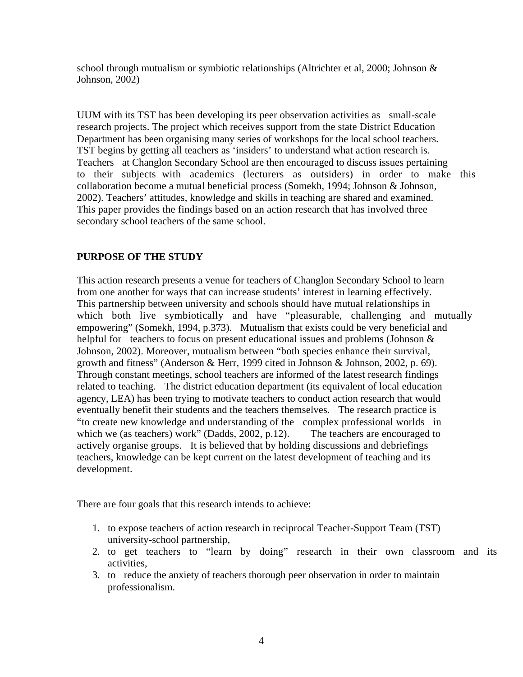school through mutualism or symbiotic relationships (Altrichter et al, 2000; Johnson & Johnson, 2002)

UUM with its TST has been developing its peer observation activities as small-scale research projects. The project which receives support from the state District Education Department has been organising many series of workshops for the local school teachers. TST begins by getting all teachers as 'insiders' to understand what action research is. Teachers at Changlon Secondary School are then encouraged to discuss issues pertaining to their subjects with academics (lecturers as outsiders) in order to make this collaboration become a mutual beneficial process (Somekh, 1994; Johnson & Johnson, 2002). Teachers' attitudes, knowledge and skills in teaching are shared and examined. This paper provides the findings based on an action research that has involved three secondary school teachers of the same school.

## **PURPOSE OF THE STUDY**

This action research presents a venue for teachers of Changlon Secondary School to learn from one another for ways that can increase students' interest in learning effectively. This partnership between university and schools should have mutual relationships in which both live symbiotically and have "pleasurable, challenging and mutually empowering" (Somekh, 1994, p.373). Mutualism that exists could be very beneficial and helpful for teachers to focus on present educational issues and problems (Johnson  $\&$ Johnson, 2002). Moreover, mutualism between "both species enhance their survival, growth and fitness" (Anderson & Herr, 1999 cited in Johnson & Johnson, 2002, p. 69). Through constant meetings, school teachers are informed of the latest research findings related to teaching. The district education department (its equivalent of local education agency, LEA) has been trying to motivate teachers to conduct action research that would eventually benefit their students and the teachers themselves. The research practice is "to create new knowledge and understanding of the complex professional worlds in which we (as teachers) work" (Dadds, 2002, p.12). The teachers are encouraged to actively organise groups. It is believed that by holding discussions and debriefings teachers, knowledge can be kept current on the latest development of teaching and its development.

There are four goals that this research intends to achieve:

- 1. to expose teachers of action research in reciprocal Teacher-Support Team (TST) university-school partnership,
- 2. to get teachers to "learn by doing" research in their own classroom and its activities,
- 3. to reduce the anxiety of teachers thorough peer observation in order to maintain professionalism.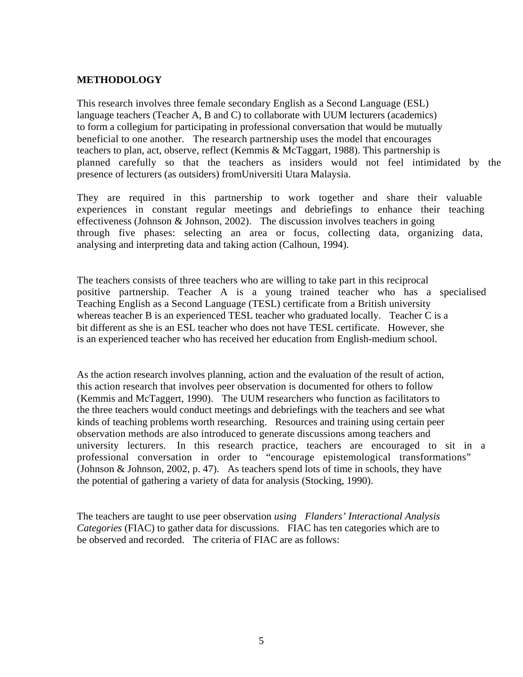## **METHODOLOGY**

This research involves three female secondary English as a Second Language (ESL) language teachers (Teacher A, B and C) to collaborate with UUM lecturers (academics) to form a collegium for participating in professional conversation that would be mutually beneficial to one another. The research partnership uses the model that encourages teachers to plan, act, observe, reflect (Kemmis & McTaggart, 1988). This partnership is planned carefully so that the teachers as insiders would not feel intimidated by the presence of lecturers (as outsiders) fromUniversiti Utara Malaysia.

They are required in this partnership to work together and share their valuable experiences in constant regular meetings and debriefings to enhance their teaching effectiveness (Johnson & Johnson, 2002). The discussion involves teachers in going through five phases: selecting an area or focus, collecting data, organizing data, analysing and interpreting data and taking action (Calhoun, 1994).

The teachers consists of three teachers who are willing to take part in this reciprocal positive partnership. Teacher A is a young trained teacher who has a specialised Teaching English as a Second Language (TESL) certificate from a British university whereas teacher B is an experienced TESL teacher who graduated locally. Teacher C is a bit different as she is an ESL teacher who does not have TESL certificate. However, she is an experienced teacher who has received her education from English-medium school.

As the action research involves planning, action and the evaluation of the result of action, this action research that involves peer observation is documented for others to follow (Kemmis and McTaggert, 1990). The UUM researchers who function as facilitators to the three teachers would conduct meetings and debriefings with the teachers and see what kinds of teaching problems worth researching. Resources and training using certain peer observation methods are also introduced to generate discussions among teachers and university lecturers. In this research practice, teachers are encouraged to sit in a professional conversation in order to "encourage epistemological transformations" (Johnson & Johnson, 2002, p. 47). As teachers spend lots of time in schools, they have the potential of gathering a variety of data for analysis (Stocking, 1990).

The teachers are taught to use peer observation *using Flanders' Interactional Analysis Categories* (FIAC) to gather data for discussions. FIAC has ten categories which are to be observed and recorded. The criteria of FIAC are as follows: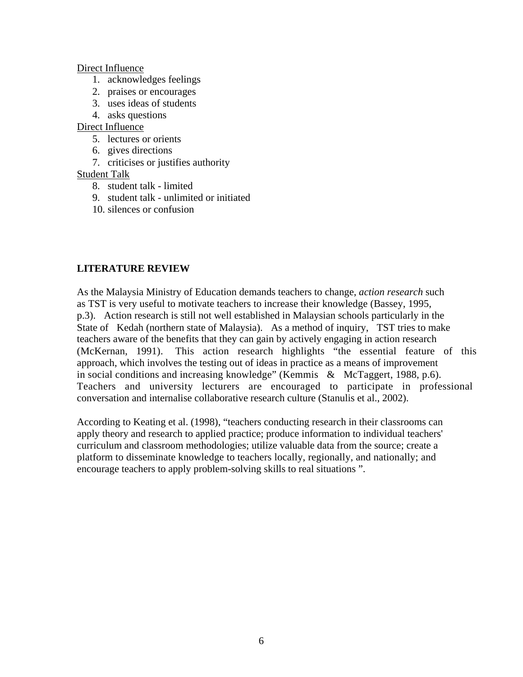#### Direct Influence

- 1. acknowledges feelings
- 2. praises or encourages
- 3. uses ideas of students
- 4. asks questions

## Direct Influence

- 5. lectures or orients
- 6. gives directions
- 7. criticises or justifies authority

## Student Talk

- 8. student talk limited
- 9. student talk unlimited or initiated
- 10. silences or confusion

## **LITERATURE REVIEW**

As the Malaysia Ministry of Education demands teachers to change, *action research* such as TST is very useful to motivate teachers to increase their knowledge (Bassey, 1995, p.3). Action research is still not well established in Malaysian schools particularly in the State of Kedah (northern state of Malaysia). As a method of inquiry, TST tries to make teachers aware of the benefits that they can gain by actively engaging in action research (McKernan, 1991). This action research highlights "the essential feature of this approach, which involves the testing out of ideas in practice as a means of improvement in social conditions and increasing knowledge" (Kemmis & McTaggert, 1988, p.6). Teachers and university lecturers are encouraged to participate in professional conversation and internalise collaborative research culture (Stanulis et al., 2002).

According to Keating et al. (1998), "teachers conducting research in their classrooms can apply theory and research to applied practice; produce information to individual teachers' curriculum and classroom methodologies; utilize valuable data from the source; create a platform to disseminate knowledge to teachers locally, regionally, and nationally; and encourage teachers to apply problem-solving skills to real situations ".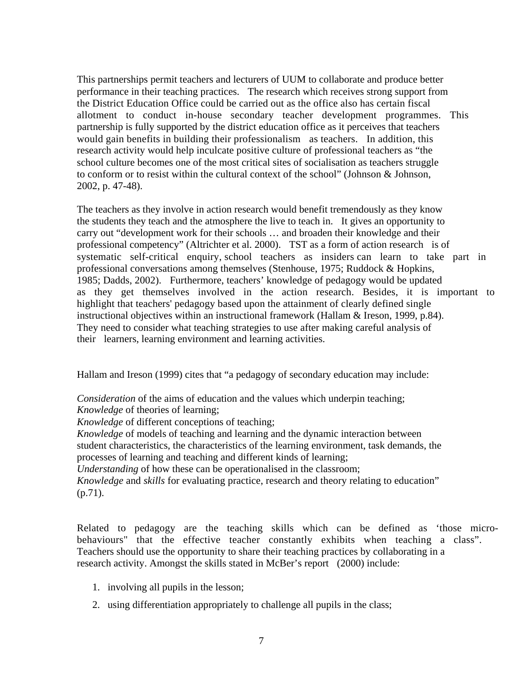This partnerships permit teachers and lecturers of UUM to collaborate and produce better performance in their teaching practices. The research which receives strong support from the District Education Office could be carried out as the office also has certain fiscal allotment to conduct in-house secondary teacher development programmes. This partnership is fully supported by the district education office as it perceives that teachers would gain benefits in building their professionalism as teachers. In addition, this research activity would help inculcate positive culture of professional teachers as "the school culture becomes one of the most critical sites of socialisation as teachers struggle to conform or to resist within the cultural context of the school" (Johnson & Johnson, 2002, p. 47-48).

The teachers as they involve in action research would benefit tremendously as they know the students they teach and the atmosphere the live to teach in. It gives an opportunity to carry out "development work for their schools … and broaden their knowledge and their professional competency" (Altrichter et al. 2000). TST as a form of action research is of systematic self-critical enquiry, school teachers as insiders can learn to take part in professional conversations among themselves (Stenhouse, 1975; Ruddock & Hopkins, 1985; Dadds, 2002). Furthermore, teachers' knowledge of pedagogy would be updated as they get themselves involved in the action research. Besides, it is important to highlight that teachers' pedagogy based upon the attainment of clearly defined single instructional objectives within an instructional framework (Hallam & Ireson, 1999, p.84). They need to consider what teaching strategies to use after making careful analysis of their learners, learning environment and learning activities.

Hallam and Ireson (1999) cites that "a pedagogy of secondary education may include:

*Consideration* of the aims of education and the values which underpin teaching; *Knowledge* of theories of learning;

*Knowledge* of different conceptions of teaching;

*Knowledge* of models of teaching and learning and the dynamic interaction between student characteristics, the characteristics of the learning environment, task demands, the processes of learning and teaching and different kinds of learning;

*Understanding* of how these can be operationalised in the classroom;

*Knowledge* and *skills* for evaluating practice, research and theory relating to education" (p.71).

Related to pedagogy are the teaching skills which can be defined as 'those microbehaviours" that the effective teacher constantly exhibits when teaching a class". Teachers should use the opportunity to share their teaching practices by collaborating in a research activity. Amongst the skills stated in McBer's report (2000) include:

- 1. involving all pupils in the lesson;
- 2. using differentiation appropriately to challenge all pupils in the class;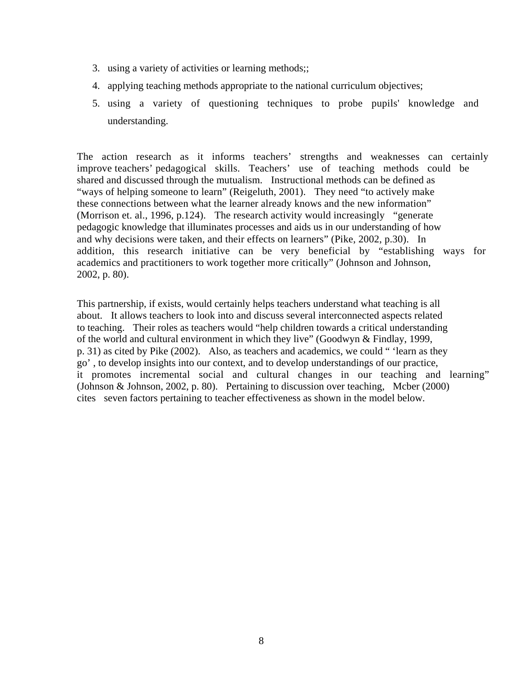- 3. using a variety of activities or learning methods;;
- 4. applying teaching methods appropriate to the national curriculum objectives;
- 5. using a variety of questioning techniques to probe pupils' knowledge and understanding.

The action research as it informs teachers' strengths and weaknesses can certainly improve teachers' pedagogical skills. Teachers' use of teaching methods could be shared and discussed through the mutualism. Instructional methods can be defined as "ways of helping someone to learn" (Reigeluth, 2001). They need "to actively make these connections between what the learner already knows and the new information" (Morrison et. al., 1996, p.124). The research activity would increasingly "generate pedagogic knowledge that illuminates processes and aids us in our understanding of how and why decisions were taken, and their effects on learners" (Pike, 2002, p.30). In addition, this research initiative can be very beneficial by "establishing ways for academics and practitioners to work together more critically" (Johnson and Johnson, 2002, p. 80).

This partnership, if exists, would certainly helps teachers understand what teaching is all about. It allows teachers to look into and discuss several interconnected aspects related to teaching. Their roles as teachers would "help children towards a critical understanding of the world and cultural environment in which they live" (Goodwyn & Findlay, 1999, p. 31) as cited by Pike (2002). Also, as teachers and academics, we could " 'learn as they go' , to develop insights into our context, and to develop understandings of our practice, it promotes incremental social and cultural changes in our teaching and learning" (Johnson & Johnson, 2002, p. 80). Pertaining to discussion over teaching, Mcber (2000) cites seven factors pertaining to teacher effectiveness as shown in the model below.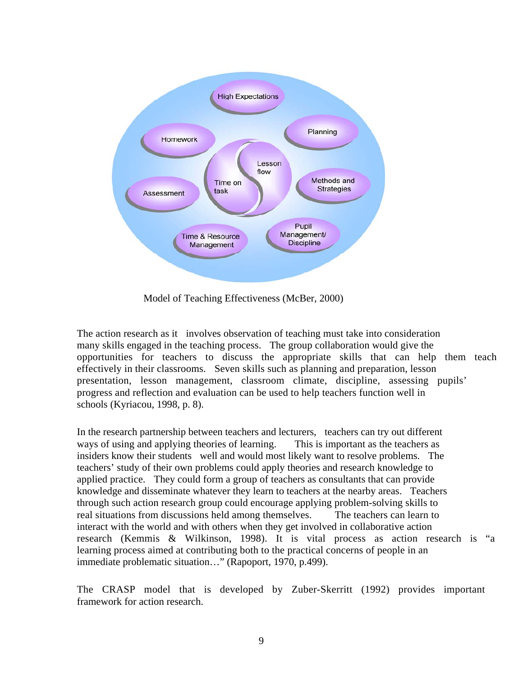

Model of Teaching Effectiveness (McBer, 2000)

The action research as it involves observation of teaching must take into consideration many skills engaged in the teaching process. The group collaboration would give the opportunities for teachers to discuss the appropriate skills that can help them teach effectively in their classrooms. Seven skills such as planning and preparation, lesson presentation, lesson management, classroom climate, discipline, assessing pupils' progress and reflection and evaluation can be used to help teachers function well in schools (Kyriacou, 1998, p. 8).

In the research partnership between teachers and lecturers, teachers can try out different ways of using and applying theories of learning. This is important as the teachers as insiders know their students well and would most likely want to resolve problems. The teachers' study of their own problems could apply theories and research knowledge to applied practice. They could form a group of teachers as consultants that can provide knowledge and disseminate whatever they learn to teachers at the nearby areas. Teachers through such action research group could encourage applying problem-solving skills to real situations from discussions held among themselves. The teachers can learn to interact with the world and with others when they get involved in collaborative action research (Kemmis & Wilkinson, 1998). It is vital process as action research is "a learning process aimed at contributing both to the practical concerns of people in an immediate problematic situation…" (Rapoport, 1970, p.499).

The CRASP model that is developed by Zuber-Skerritt (1992) provides important framework for action research.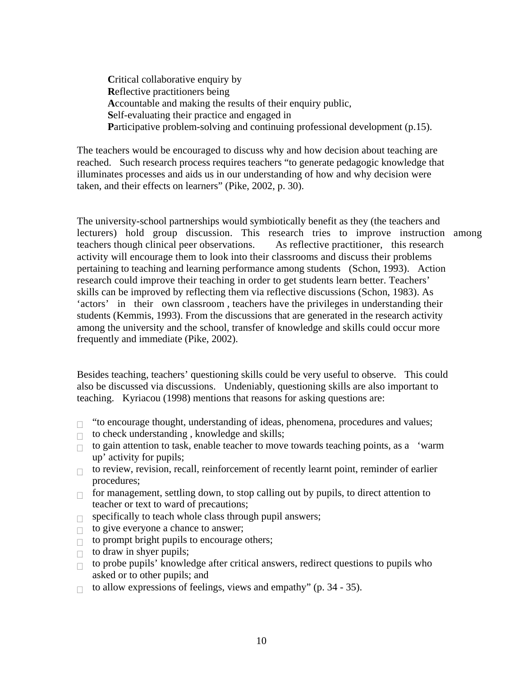**C**ritical collaborative enquiry by **R**eflective practitioners being **A**ccountable and making the results of their enquiry public, **S**elf-evaluating their practice and engaged in Participative problem-solving and continuing professional development (p.15).

The teachers would be encouraged to discuss why and how decision about teaching are reached. Such research process requires teachers "to generate pedagogic knowledge that illuminates processes and aids us in our understanding of how and why decision were taken, and their effects on learners" (Pike, 2002, p. 30).

The university-school partnerships would symbiotically benefit as they (the teachers and lecturers) hold group discussion. This research tries to improve instruction among teachers though clinical peer observations. As reflective practitioner, this research activity will encourage them to look into their classrooms and discuss their problems pertaining to teaching and learning performance among students (Schon, 1993). Action research could improve their teaching in order to get students learn better. Teachers' skills can be improved by reflecting them via reflective discussions (Schon, 1983). As 'actors' in their own classroom , teachers have the privileges in understanding their students (Kemmis, 1993). From the discussions that are generated in the research activity among the university and the school, transfer of knowledge and skills could occur more frequently and immediate (Pike, 2002).

Besides teaching, teachers' questioning skills could be very useful to observe. This could also be discussed via discussions. Undeniably, questioning skills are also important to teaching. Kyriacou (1998) mentions that reasons for asking questions are:

- $\Box$  "to encourage thought, understanding of ideas, phenomena, procedures and values;
- $\Box$  to check understanding, knowledge and skills;
- $\Box$  to gain attention to task, enable teacher to move towards teaching points, as a 'warm' up' activity for pupils;
- $\Box$  to review, revision, recall, reinforcement of recently learnt point, reminder of earlier procedures;
- $\Box$  for management, settling down, to stop calling out by pupils, to direct attention to teacher or text to ward of precautions;
- $\Box$  specifically to teach whole class through pupil answers;
- $\Box$  to give everyone a chance to answer;
- $\Box$  to prompt bright pupils to encourage others;
- $\Box$  to draw in shyer pupils;
- $\Box$  to probe pupils' knowledge after critical answers, redirect questions to pupils who asked or to other pupils; and
- $\Box$  to allow expressions of feelings, views and empathy" (p. 34 35).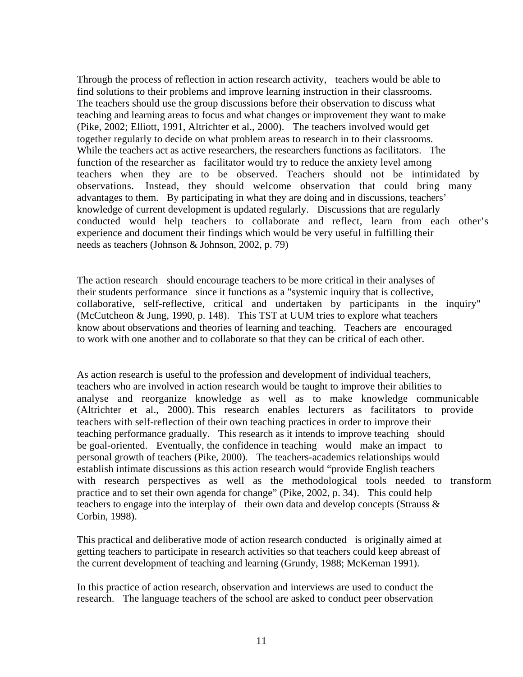Through the process of reflection in action research activity, teachers would be able to find solutions to their problems and improve learning instruction in their classrooms. The teachers should use the group discussions before their observation to discuss what teaching and learning areas to focus and what changes or improvement they want to make (Pike, 2002; Elliott, 1991, Altrichter et al., 2000). The teachers involved would get together regularly to decide on what problem areas to research in to their classrooms. While the teachers act as active researchers, the researchers functions as facilitators. The function of the researcher as facilitator would try to reduce the anxiety level among teachers when they are to be observed. Teachers should not be intimidated by observations. Instead, they should welcome observation that could bring many advantages to them. By participating in what they are doing and in discussions, teachers' knowledge of current development is updated regularly. Discussions that are regularly conducted would help teachers to collaborate and reflect, learn from each other's experience and document their findings which would be very useful in fulfilling their needs as teachers (Johnson & Johnson, 2002, p. 79)

The action research should encourage teachers to be more critical in their analyses of their students performance since it functions as a "systemic inquiry that is collective, collaborative, self-reflective, critical and undertaken by participants in the inquiry" (McCutcheon & Jung, 1990, p. 148). This TST at UUM tries to explore what teachers know about observations and theories of learning and teaching. Teachers are encouraged to work with one another and to collaborate so that they can be critical of each other.

As action research is useful to the profession and development of individual teachers, teachers who are involved in action research would be taught to improve their abilities to analyse and reorganize knowledge as well as to make knowledge communicable (Altrichter et al., 2000). This research enables lecturers as facilitators to provide teachers with self-reflection of their own teaching practices in order to improve their teaching performance gradually. This research as it intends to improve teaching should be goal-oriented. Eventually, the confidence in teaching would make an impact to personal growth of teachers (Pike, 2000). The teachers-academics relationships would establish intimate discussions as this action research would "provide English teachers with research perspectives as well as the methodological tools needed to transform practice and to set their own agenda for change" (Pike, 2002, p. 34). This could help teachers to engage into the interplay of their own data and develop concepts (Strauss & Corbin, 1998).

This practical and deliberative mode of action research conducted is originally aimed at getting teachers to participate in research activities so that teachers could keep abreast of the current development of teaching and learning (Grundy, 1988; McKernan 1991).

In this practice of action research, observation and interviews are used to conduct the research. The language teachers of the school are asked to conduct peer observation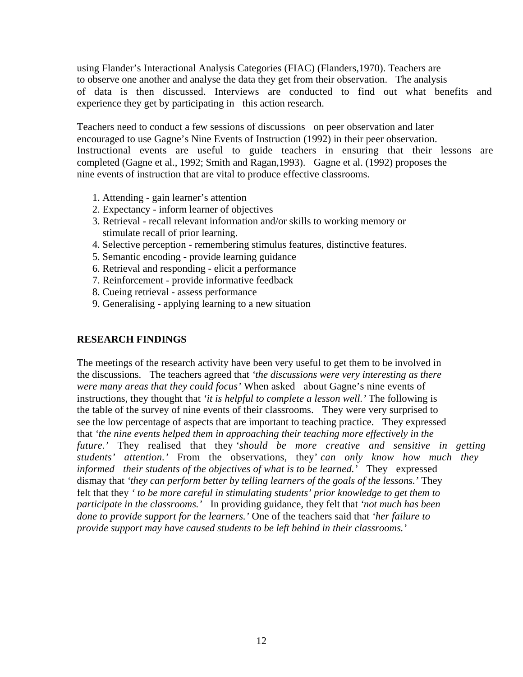using Flander's Interactional Analysis Categories (FIAC) (Flanders,1970). Teachers are to observe one another and analyse the data they get from their observation. The analysis of data is then discussed. Interviews are conducted to find out what benefits and experience they get by participating in this action research.

Teachers need to conduct a few sessions of discussions on peer observation and later encouraged to use Gagne's Nine Events of Instruction (1992) in their peer observation. Instructional events are useful to guide teachers in ensuring that their lessons are completed (Gagne et al., 1992; Smith and Ragan,1993). Gagne et al. (1992) proposes the nine events of instruction that are vital to produce effective classrooms.

- 1. Attending gain learner's attention
- 2. Expectancy inform learner of objectives
- 3. Retrieval recall relevant information and/or skills to working memory or stimulate recall of prior learning.
- 4. Selective perception remembering stimulus features, distinctive features.
- 5. Semantic encoding provide learning guidance
- 6. Retrieval and responding elicit a performance
- 7. Reinforcement provide informative feedback
- 8. Cueing retrieval assess performance
- 9. Generalising applying learning to a new situation

#### **RESEARCH FINDINGS**

The meetings of the research activity have been very useful to get them to be involved in the discussions. The teachers agreed that *'the discussions were very interesting as there were many areas that they could focus'* When asked about Gagne's nine events of instructions, they thought that *'it is helpful to complete a lesson well.'* The following is the table of the survey of nine events of their classrooms. They were very surprised to see the low percentage of aspects that are important to teaching practice. They expressed that *'the nine events helped them in approaching their teaching more effectively in the future.'* They realised that they *'should be more creative and sensitive in getting students' attention.'* From the observations, they' *can only know how much they informed their students of the objectives of what is to be learned.'* They expressed dismay that *'they can perform better by telling learners of the goals of the lessons.'* They felt that they *' to be more careful in stimulating students' prior knowledge to get them to participate in the classrooms.'* In providing guidance, they felt that *'not much has been done to provide support for the learners.'* One of the teachers said that *'her failure to provide support may have caused students to be left behind in their classrooms.'*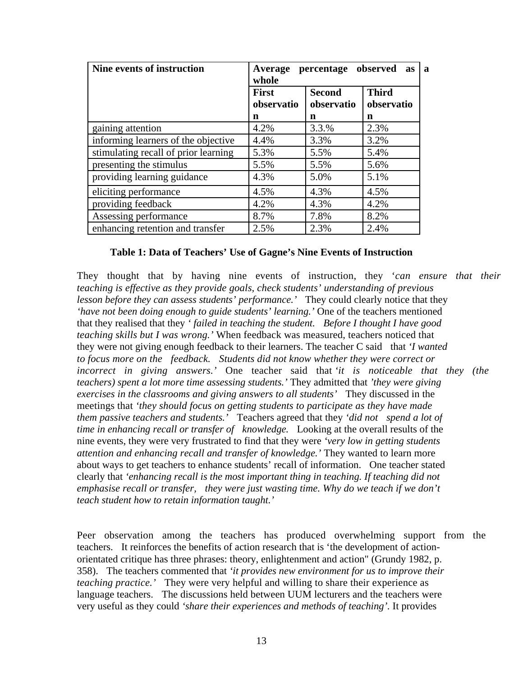| Nine events of instruction           | percentage observed<br>Average<br>as<br>whole |                             |                            |  |  |  |  |
|--------------------------------------|-----------------------------------------------|-----------------------------|----------------------------|--|--|--|--|
|                                      | <b>First</b><br>observatio                    | <b>Second</b><br>observatio | <b>Third</b><br>observatio |  |  |  |  |
|                                      | n                                             | n                           | n                          |  |  |  |  |
| gaining attention                    | 4.2%                                          | 3.3.%                       | 2.3%                       |  |  |  |  |
| informing learners of the objective  | 4.4%                                          | 3.3%                        | 3.2%                       |  |  |  |  |
| stimulating recall of prior learning | 5.3%                                          | 5.5%                        | 5.4%                       |  |  |  |  |
| presenting the stimulus              | 5.5%                                          | 5.5%                        | 5.6%                       |  |  |  |  |
| providing learning guidance          | 4.3%                                          | 5.0%                        | 5.1%                       |  |  |  |  |
| eliciting performance                | 4.5%                                          | 4.3%                        | 4.5%                       |  |  |  |  |
| providing feedback                   | 4.2%                                          | 4.3%                        | 4.2%                       |  |  |  |  |
| Assessing performance                | 8.7%                                          | 7.8%                        | 8.2%                       |  |  |  |  |
| enhancing retention and transfer     | 2.5%                                          | 2.3%                        | 2.4%                       |  |  |  |  |

#### **Table 1: Data of Teachers' Use of Gagne's Nine Events of Instruction**

They thought that by having nine events of instruction, they '*can ensure that their teaching is effective as they provide goals, check students' understanding of previous lesson before they can assess students' performance.'* They could clearly notice that they 'have not been doing enough to guide students' learning.' One of the teachers mentioned that they realised that they *' failed in teaching the student. Before I thought I have good teaching skills but I was wrong.'* When feedback was measured, teachers noticed that they were not giving enough feedback to their learners. The teacher C said that *'I wanted to focus more on the feedback. Students did not know whether they were correct or incorrect in giving answers.'* One teacher said that *'it is noticeable that they (the teachers) spent a lot more time assessing students.'* They admitted that *'they were giving exercises in the classrooms and giving answers to all students'* They discussed in the meetings that *'they should focus on getting students to participate as they have made them passive teachers and students.'* Teachers agreed that they *'did not spend a lot of time in enhancing recall or transfer of knowledge.* Looking at the overall results of the nine events, they were very frustrated to find that they were *'very low in getting students attention and enhancing recall and transfer of knowledge.'* They wanted to learn more about ways to get teachers to enhance students' recall of information. One teacher stated clearly that *'enhancing recall is the most important thing in teaching. If teaching did not emphasise recall or transfer, they were just wasting time. Why do we teach if we don't teach student how to retain information taught.'*

Peer observation among the teachers has produced overwhelming support from the teachers. It reinforces the benefits of action research that is 'the development of actionorientated critique has three phrases: theory, enlightenment and action" (Grundy 1982, p. 358). The teachers commented that *'it provides new environment for us to improve their teaching practice.'* They were very helpful and willing to share their experience as language teachers. The discussions held between UUM lecturers and the teachers were very useful as they could *'share their experiences and methods of teaching'.* It provides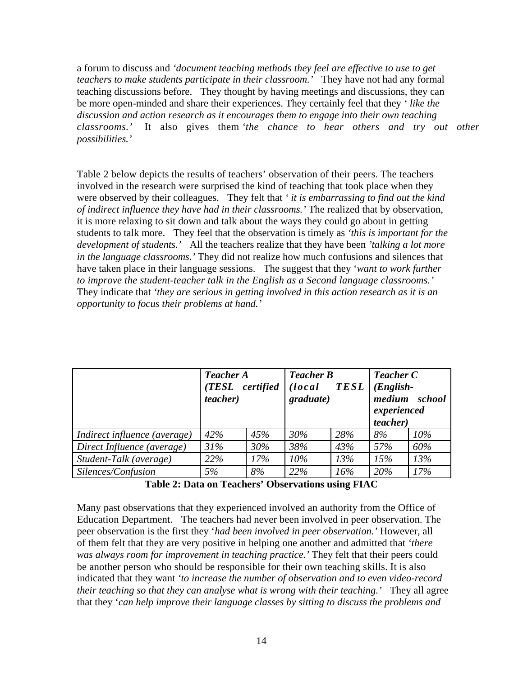a forum to discuss and *'document teaching methods they feel are effective to use to get teachers to make students participate in their classroom.'* They have not had any formal teaching discussions before. They thought by having meetings and discussions, they can be more open-minded and share their experiences. They certainly feel that they *' like the discussion and action research as it encourages them to engage into their own teaching classrooms.'* It also gives them *'the chance to hear others and try out other possibilities.'*

Table 2 below depicts the results of teachers' observation of their peers. The teachers involved in the research were surprised the kind of teaching that took place when they were observed by their colleagues. They felt that *' it is embarrassing to find out the kind of indirect influence they have had in their classrooms.'* The realized that by observation, it is more relaxing to sit down and talk about the ways they could go about in getting students to talk more. They feel that the observation is timely as *'this is important for the development of students.'* All the teachers realize that they have been *'talking a lot more in the language classrooms.'* They did not realize how much confusions and silences that have taken place in their language sessions. The suggest that they '*want to work further to improve the student-teacher talk in the English as a Second language classrooms.'* They indicate that *'they are serious in getting involved in this action research as it is an opportunity to focus their problems at hand.'*

|                              | <b>Teacher A</b><br>(TESL certified<br><i>teacher</i> ) |     | <b>Teacher B</b><br>(local<br>TESL<br>graduate) |     | <b>Teacher C</b><br>$(English -$<br>medium school<br>experienced<br><i>teacher</i> ) |        |
|------------------------------|---------------------------------------------------------|-----|-------------------------------------------------|-----|--------------------------------------------------------------------------------------|--------|
| Indirect influence (average) | 42%                                                     | 45% | 30%                                             | 28% | 8%                                                                                   | $10\%$ |
| Direct Influence (average)   | 31%                                                     | 30% | 38%                                             | 43% | 57%                                                                                  | 60%    |
| Student-Talk (average)       | 22%                                                     | 17% | $10\%$                                          | 13% | 15%                                                                                  | 13%    |
| Silences/Confusion           | 5%                                                      | 8%  | 22%                                             | 16% | 20%                                                                                  | 17%    |

**Table 2: Data on Teachers' Observations using FIAC**

Many past observations that they experienced involved an authority from the Office of Education Department. The teachers had never been involved in peer observation. The peer observation is the first they '*had been involved in peer observation.'* However, all of them felt that they are very positive in helping one another and admitted that *'there was always room for improvement in teaching practice.'* They felt that their peers could be another person who should be responsible for their own teaching skills. It is also indicated that they want *'to increase the number of observation and to even video-record their teaching so that they can analyse what is wrong with their teaching.'* They all agree that they '*can help improve their language classes by sitting to discuss the problems and*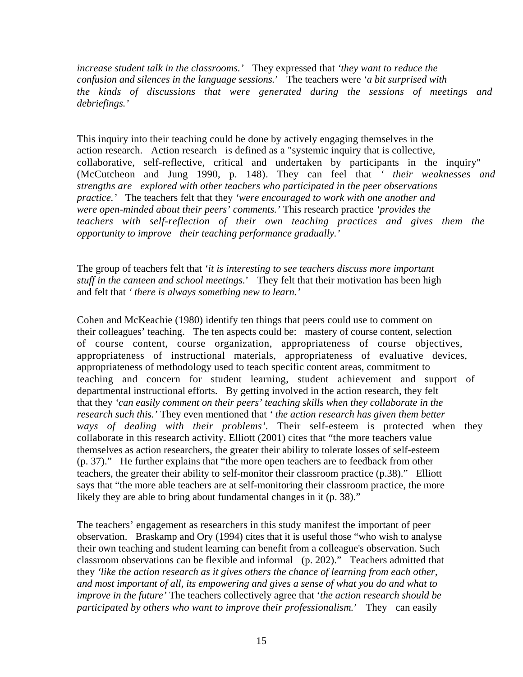*increase student talk in the classrooms.'* They expressed that *'they want to reduce the confusion and silences in the language sessions.*' The teachers were *'a bit surprised with the kinds of discussions that were generated during the sessions of meetings and debriefings.'*

This inquiry into their teaching could be done by actively engaging themselves in the action research. Action research is defined as a "systemic inquiry that is collective, collaborative, self-reflective, critical and undertaken by participants in the inquiry" (McCutcheon and Jung 1990, p. 148). They can feel that *' their weaknesses and strengths are explored with other teachers who participated in the peer observations practice.'* The teachers felt that they *'were encouraged to work with one another and were open-minded about their peers' comments.'* This research practice *'provides the teachers with self-reflection of their own teaching practices and gives them the opportunity to improve their teaching performance gradually.'*

The group of teachers felt that *'it is interesting to see teachers discuss more important stuff in the canteen and school meetings.*' They felt that their motivation has been high and felt that *' there is always something new to learn.'*

Cohen and McKeachie (1980) identify ten things that peers could use to comment on their colleagues' teaching. The ten aspects could be: mastery of course content, selection of course content, course organization, appropriateness of course objectives, appropriateness of instructional materials, appropriateness of evaluative devices, appropriateness of methodology used to teach specific content areas, commitment to teaching and concern for student learning, student achievement and support of departmental instructional efforts. By getting involved in the action research, they felt that they *'can easily comment on their peers' teaching skills when they collaborate in the research such this.'* They even mentioned that *' the action research has given them better ways of dealing with their problems'.* Their self-esteem is protected when they collaborate in this research activity. Elliott (2001) cites that "the more teachers value themselves as action researchers, the greater their ability to tolerate losses of self-esteem (p. 37)." He further explains that "the more open teachers are to feedback from other teachers, the greater their ability to self-monitor their classroom practice (p.38)." Elliott says that "the more able teachers are at self-monitoring their classroom practice, the more likely they are able to bring about fundamental changes in it (p. 38)."

The teachers' engagement as researchers in this study manifest the important of peer observation. Braskamp and Ory (1994) cites that it is useful those "who wish to analyse their own teaching and student learning can benefit from a colleague's observation. Such classroom observations can be flexible and informal (p. 202)." Teachers admitted that they *'like the action research as it gives others the chance of learning from each other, and most important of all, its empowering and gives a sense of what you do and what to improve in the future'* The teachers collectively agree that '*the action research should be participated by others who want to improve their professionalism.*' They can easily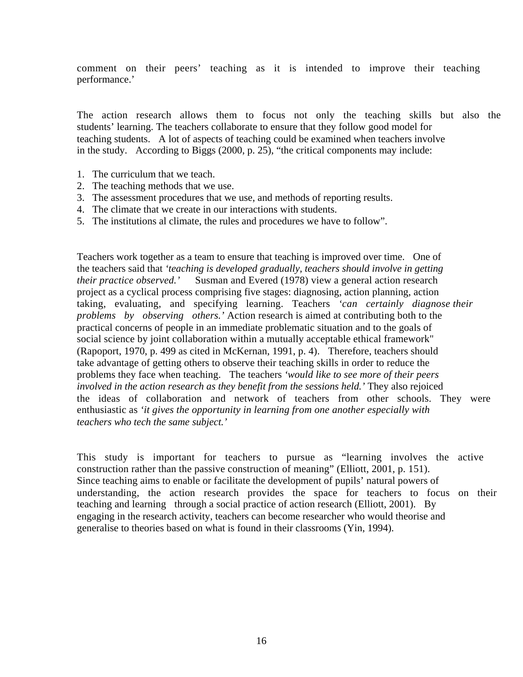comment on their peers' teaching as it is intended to improve their teaching performance.'

The action research allows them to focus not only the teaching skills but also the students' learning. The teachers collaborate to ensure that they follow good model for teaching students. A lot of aspects of teaching could be examined when teachers involve in the study. According to Biggs (2000, p. 25), "the critical components may include:

- 1. The curriculum that we teach.
- 2. The teaching methods that we use.
- 3. The assessment procedures that we use, and methods of reporting results.
- 4. The climate that we create in our interactions with students.
- 5. The institutions al climate, the rules and procedures we have to follow".

Teachers work together as a team to ensure that teaching is improved over time. One of the teachers said that *'teaching is developed gradually, teachers should involve in getting their practice observed.'* Susman and Evered (1978) view a general action research project as a cyclical process comprising five stages: diagnosing, action planning, action taking, evaluating, and specifying learning. Teachers *'can certainly diagnose their problems by observing others.'* Action research is aimed at contributing both to the practical concerns of people in an immediate problematic situation and to the goals of social science by joint collaboration within a mutually acceptable ethical framework" (Rapoport, 1970, p. 499 as cited in McKernan, 1991, p. 4). Therefore, teachers should take advantage of getting others to observe their teaching skills in order to reduce the problems they face when teaching. The teachers *'would like to see more of their peers involved in the action research as they benefit from the sessions held.'* They also rejoiced the ideas of collaboration and network of teachers from other schools. They were enthusiastic as *'it gives the opportunity in learning from one another especially with teachers who tech the same subject.'*

This study is important for teachers to pursue as "learning involves the active construction rather than the passive construction of meaning" (Elliott, 2001, p. 151). Since teaching aims to enable or facilitate the development of pupils' natural powers of understanding, the action research provides the space for teachers to focus on their teaching and learning through a social practice of action research (Elliott, 2001). By engaging in the research activity, teachers can become researcher who would theorise and generalise to theories based on what is found in their classrooms (Yin, 1994).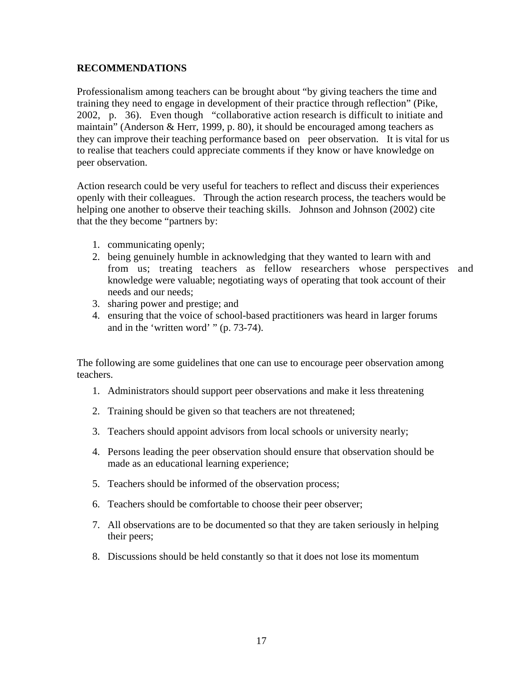## **RECOMMENDATIONS**

Professionalism among teachers can be brought about "by giving teachers the time and training they need to engage in development of their practice through reflection" (Pike, 2002, p. 36). Even though "collaborative action research is difficult to initiate and maintain" (Anderson & Herr, 1999, p. 80), it should be encouraged among teachers as they can improve their teaching performance based on peer observation. It is vital for us to realise that teachers could appreciate comments if they know or have knowledge on peer observation.

Action research could be very useful for teachers to reflect and discuss their experiences openly with their colleagues. Through the action research process, the teachers would be helping one another to observe their teaching skills. Johnson and Johnson (2002) cite that the they become "partners by:

- 1. communicating openly;
- 2. being genuinely humble in acknowledging that they wanted to learn with and from us; treating teachers as fellow researchers whose perspectives and knowledge were valuable; negotiating ways of operating that took account of their needs and our needs;
- 3. sharing power and prestige; and
- 4. ensuring that the voice of school-based practitioners was heard in larger forums and in the 'written word' " (p. 73-74).

The following are some guidelines that one can use to encourage peer observation among teachers.

- 1. Administrators should support peer observations and make it less threatening
- 2. Training should be given so that teachers are not threatened;
- 3. Teachers should appoint advisors from local schools or university nearly;
- 4. Persons leading the peer observation should ensure that observation should be made as an educational learning experience;
- 5. Teachers should be informed of the observation process;
- 6. Teachers should be comfortable to choose their peer observer;
- 7. All observations are to be documented so that they are taken seriously in helping their peers;
- 8. Discussions should be held constantly so that it does not lose its momentum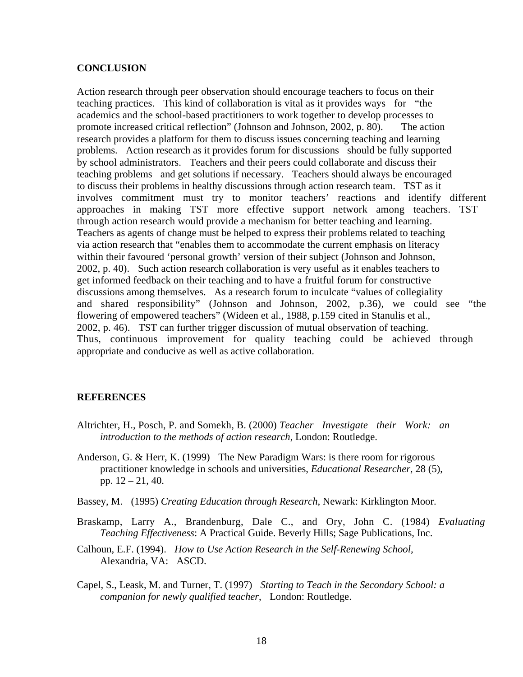#### **CONCLUSION**

Action research through peer observation should encourage teachers to focus on their teaching practices. This kind of collaboration is vital as it provides ways for "the academics and the school-based practitioners to work together to develop processes to promote increased critical reflection" (Johnson and Johnson, 2002, p. 80). The action research provides a platform for them to discuss issues concerning teaching and learning problems. Action research as it provides forum for discussions should be fully supported by school administrators. Teachers and their peers could collaborate and discuss their teaching problems and get solutions if necessary. Teachers should always be encouraged to discuss their problems in healthy discussions through action research team. TST as it involves commitment must try to monitor teachers' reactions and identify different approaches in making TST more effective support network among teachers. TST through action research would provide a mechanism for better teaching and learning. Teachers as agents of change must be helped to express their problems related to teaching via action research that "enables them to accommodate the current emphasis on literacy within their favoured 'personal growth' version of their subject (Johnson and Johnson, 2002, p. 40). Such action research collaboration is very useful as it enables teachers to get informed feedback on their teaching and to have a fruitful forum for constructive discussions among themselves. As a research forum to inculcate "values of collegiality and shared responsibility" (Johnson and Johnson, 2002, p.36), we could see "the flowering of empowered teachers" (Wideen et al., 1988, p.159 cited in Stanulis et al., 2002, p. 46). TST can further trigger discussion of mutual observation of teaching. Thus, continuous improvement for quality teaching could be achieved through appropriate and conducive as well as active collaboration.

#### **REFERENCES**

- Altrichter, H., Posch, P. and Somekh, B. (2000) *Teacher Investigate their Work: an introduction to the methods of action research*, London: Routledge.
- Anderson, G. & Herr, K. (1999) The New Paradigm Wars: is there room for rigorous practitioner knowledge in schools and universities, *Educational Researcher*, 28 (5), pp. 12 – 21, 40.
- Bassey, M. (1995) *Creating Education through Research*, Newark: Kirklington Moor.
- Braskamp, Larry A., Brandenburg, Dale C., and Ory, John C. (1984) *Evaluating Teaching Effectiveness*: A Practical Guide. Beverly Hills; Sage Publications, Inc.
- Calhoun, E.F. (1994). *How to Use Action Research in the Self-Renewing School,* Alexandria, VA: ASCD.
- Capel, S., Leask, M. and Turner, T. (1997) *Starting to Teach in the Secondary School: a companion for newly qualified teacher*, London: Routledge.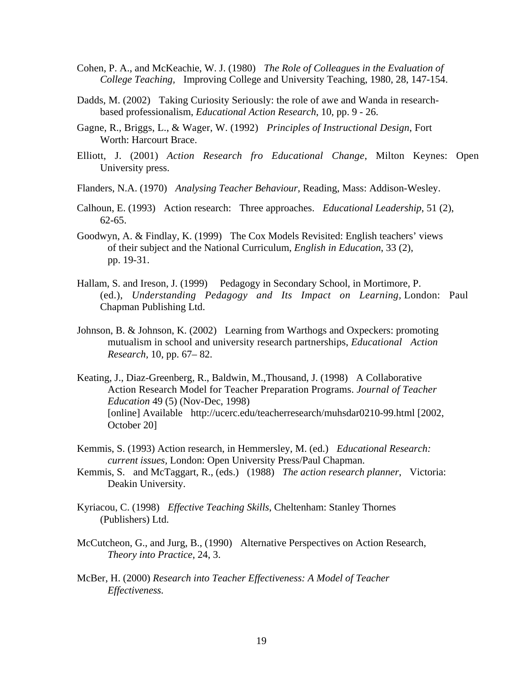- Cohen, P. A., and McKeachie, W. J. (1980) *The Role of Colleagues in the Evaluation of College Teaching,* Improving College and University Teaching, 1980, 28, 147-154.
- Dadds, M. (2002) Taking Curiosity Seriously: the role of awe and Wanda in researchbased professionalism, *Educational Action Research*, 10, pp. 9 - 26.
- Gagne, R., Briggs, L., & Wager, W. (1992) *Principles of Instructional Design*, Fort Worth: Harcourt Brace.
- Elliott, J. (2001) *Action Research fro Educational Change*, Milton Keynes: Open University press.
- Flanders, N.A. (1970) *Analysing Teacher Behaviour,* Reading, Mass: Addison-Wesley.
- Calhoun, E. (1993) Action research: Three approaches. *Educational Leadership*, 51 (2), 62-65.
- Goodwyn, A. & Findlay, K. (1999) The Cox Models Revisited: English teachers' views of their subject and the National Curriculum, *English in Education*, 33 (2), pp. 19-31.
- Hallam, S. and Ireson, J. (1999) Pedagogy in Secondary School, in Mortimore, P. (ed.), *Understanding Pedagogy and Its Impact on Learning,* London: Paul Chapman Publishing Ltd.
- Johnson, B. & Johnson, K. (2002) Learning from Warthogs and Oxpeckers: promoting mutualism in school and university research partnerships, *Educational Action Research,* 10, pp. 67– 82.
- Keating, J., Diaz-Greenberg, R., Baldwin, M.,Thousand, J. (1998) A Collaborative Action Research Model for Teacher Preparation Programs. *Journal of Teacher Education* 49 (5) (Nov-Dec, 1998) [online] Available http://ucerc.edu/teacherresearch/muhsdar0210-99.html [2002, October 20]
- Kemmis, S. (1993) Action research, in Hemmersley, M. (ed.) *Educational Research: current issues,* London: Open University Press/Paul Chapman.
- Kemmis, S. and McTaggart, R., (eds.) (1988) *The action research planner*, Victoria: Deakin University.
- Kyriacou, C. (1998) *Effective Teaching Skills*, Cheltenham: Stanley Thornes (Publishers) Ltd.
- McCutcheon, G., and Jurg, B., (1990) Alternative Perspectives on Action Research, *Theory into Practice*, 24, 3.
- McBer, H. (2000) *Research into Teacher Effectiveness: A Model of Teacher Effectiveness.*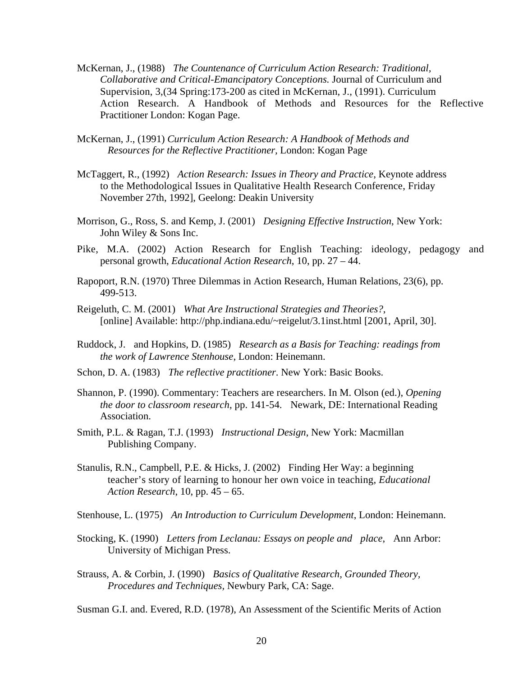- McKernan, J., (1988) *The Countenance of Curriculum Action Research: Traditional, Collaborative and Critical-Emancipatory Conceptions.* Journal of Curriculum and Supervision, 3,(34 Spring:173-200 as cited in McKernan, J., (1991). Curriculum Action Research. A Handbook of Methods and Resources for the Reflective Practitioner London: Kogan Page.
- McKernan, J., (1991) *Curriculum Action Research: A Handbook of Methods and Resources for the Reflective Practitioner,* London: Kogan Page
- McTaggert, R., (1992) *Action Research: Issues in Theory and Practice*, Keynote address to the Methodological Issues in Qualitative Health Research Conference, Friday November 27th, 1992], Geelong: Deakin University
- Morrison, G., Ross, S. and Kemp, J. (2001) *Designing Effective Instruction*, New York: John Wiley & Sons Inc.
- Pike, M.A. (2002) Action Research for English Teaching: ideology, pedagogy and personal growth, *Educational Action Research*, 10, pp. 27 – 44.
- Rapoport, R.N. (1970) Three Dilemmas in Action Research, Human Relations, 23(6), pp. 499-513.
- Reigeluth, C. M. (2001) *What Are Instructional Strategies and Theories?*, [online] Available: http://php.indiana.edu/~reigelut/3.1inst.html [2001, April, 30].
- Ruddock, J. and Hopkins, D. (1985) *Research as a Basis for Teaching: readings from the work of Lawrence Stenhouse*, London: Heinemann.
- Schon, D. A. (1983) *The reflective practitioner*. New York: Basic Books.
- Shannon, P. (1990). Commentary: Teachers are researchers. In M. Olson (ed.), *Opening the door to classroom research*, pp. 141-54. Newark, DE: International Reading Association.
- Smith, P.L. & Ragan, T.J. (1993) *Instructional Design*, New York: Macmillan Publishing Company.
- Stanulis, R.N., Campbell, P.E. & Hicks, J. (2002) Finding Her Way: a beginning teacher's story of learning to honour her own voice in teaching, *Educational Action Research*, 10, pp. 45 – 65.
- Stenhouse, L. (1975) *An Introduction to Curriculum Development*, London: Heinemann.
- Stocking, K. (1990) *Letters from Leclanau: Essays on people and place*, Ann Arbor: University of Michigan Press.
- Strauss, A. & Corbin, J. (1990) *Basics of Qualitative Research, Grounded Theory, Procedures and Techniques,* Newbury Park, CA: Sage.

Susman G.I. and. Evered, R.D. (1978), An Assessment of the Scientific Merits of Action